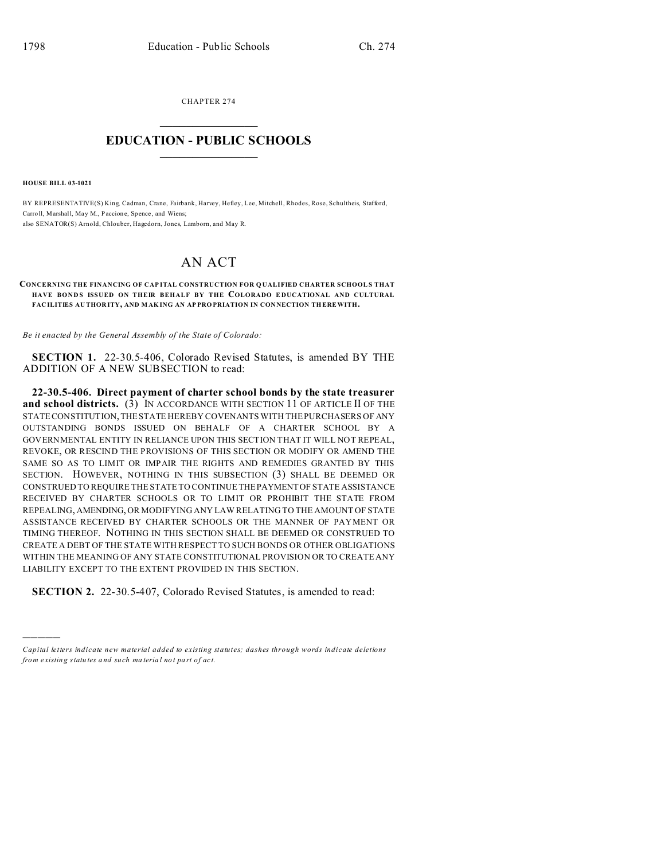CHAPTER 274  $\overline{\phantom{a}}$  , where  $\overline{\phantom{a}}$ 

## **EDUCATION - PUBLIC SCHOOLS**  $\_$   $\_$   $\_$   $\_$   $\_$   $\_$   $\_$   $\_$   $\_$

**HOUSE BILL 03-1021**

)))))

BY REPRESENTATIVE(S) King, Cadman, Crane, Fairbank, Harvey, Hefley, Lee, Mitchell, Rhodes, Rose, Schultheis, Stafford, Carroll, Marshall, May M., Paccione, Spence, and Wiens; also SENATOR(S) Arnold, Chlouber, Hagedorn, Jones, Lamborn, and May R.

## AN ACT

**CONCERNING THE FINANCING OF CAP ITAL CONSTRUCTION FOR Q UALIFIED CHARTER SCHOOL S THAT HAVE BOND S ISSUED ON THEIR BEHALF BY THE COLORADO E DUCATIONAL AND CULTURAL FAC ILITIES AU THOR ITY, AND MAK ING AN AP PRO PRIATION IN CON NECTION TH EREWITH.**

*Be it enacted by the General Assembly of the State of Colorado:*

**SECTION 1.** 22-30.5-406, Colorado Revised Statutes, is amended BY THE ADDITION OF A NEW SUBSECTION to read:

**22-30.5-406. Direct payment of charter school bonds by the state treasurer and school districts.** (3) IN ACCORDANCE WITH SECTION 11 OF ARTICLE II OF THE STATE CONSTITUTION, THE STATE HEREBY COVENANTS WITH THE PURCHASERS OF ANY OUTSTANDING BONDS ISSUED ON BEHALF OF A CHARTER SCHOOL BY A GOVERNMENTAL ENTITY IN RELIANCE UPON THIS SECTION THAT IT WILL NOT REPEAL, REVOKE, OR RESCIND THE PROVISIONS OF THIS SECTION OR MODIFY OR AMEND THE SAME SO AS TO LIMIT OR IMPAIR THE RIGHTS AND REMEDIES GRANTED BY THIS SECTION. HOWEVER, NOTHING IN THIS SUBSECTION (3) SHALL BE DEEMED OR CONSTRUED TO REQUIRE THE STATE TO CONTINUE THEPAYMENTOF STATE ASSISTANCE RECEIVED BY CHARTER SCHOOLS OR TO LIMIT OR PROHIBIT THE STATE FROM REPEALING, AMENDING, OR MODIFYING ANY LAW RELATING TO THE AMOUNT OF STATE ASSISTANCE RECEIVED BY CHARTER SCHOOLS OR THE MANNER OF PAYMENT OR TIMING THEREOF. NOTHING IN THIS SECTION SHALL BE DEEMED OR CONSTRUED TO CREATE A DEBT OF THE STATE WITH RESPECT TO SUCH BONDS OR OTHER OBLIGATIONS WITHIN THE MEANING OF ANY STATE CONSTITUTIONAL PROVISION OR TO CREATE ANY LIABILITY EXCEPT TO THE EXTENT PROVIDED IN THIS SECTION.

**SECTION 2.** 22-30.5-407, Colorado Revised Statutes, is amended to read:

*Capital letters indicate new material added to existing statutes; dashes through words indicate deletions from e xistin g statu tes a nd such ma teria l no t pa rt of ac t.*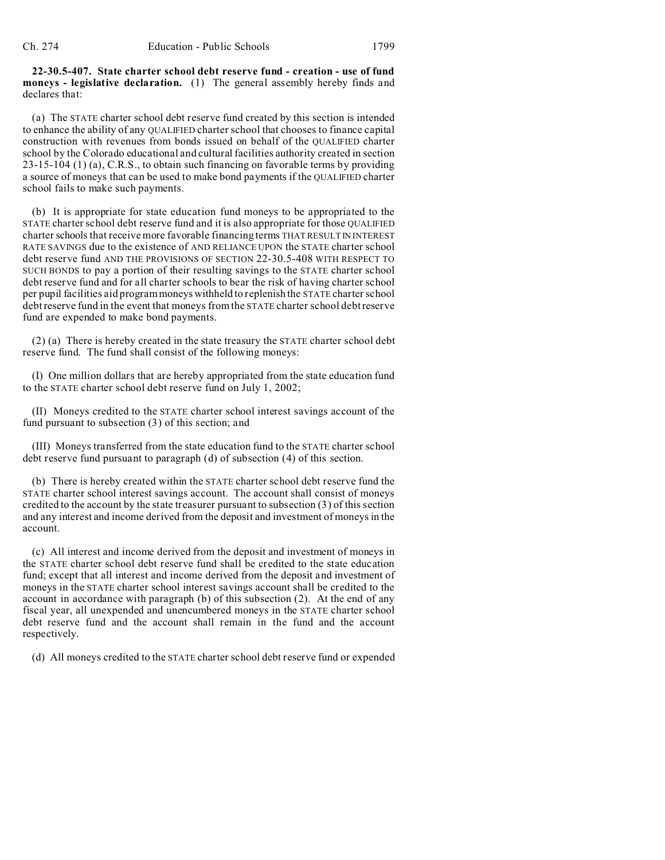**22-30.5-407. State charter school debt reserve fund - creation - use of fund moneys - legislative declaration.** (1) The general assembly hereby finds and declares that:

(a) The STATE charter school debt reserve fund created by this section is intended to enhance the ability of any QUALIFIED charter school that chooses to finance capital construction with revenues from bonds issued on behalf of the QUALIFIED charter school by the Colorado educational and cultural facilities authority created in section 23-15-104 (1) (a), C.R.S., to obtain such financing on favorable terms by providing a source of moneys that can be used to make bond payments if the QUALIFIED charter school fails to make such payments.

(b) It is appropriate for state education fund moneys to be appropriated to the STATE charter school debt reserve fund and it is also appropriate for those QUALIFIED charter schools that receive more favorable financing terms THAT RESULT IN INTEREST RATE SAVINGS due to the existence of AND RELIANCE UPON the STATE charter school debt reserve fund AND THE PROVISIONS OF SECTION 22-30.5-408 WITH RESPECT TO SUCH BONDS to pay a portion of their resulting savings to the STATE charter school debt reserve fund and for all charter schools to bear the risk of having charter school per pupil facilities aid program moneys withheld to replenish the STATE charter school debt reserve fund in the event that moneys from the STATE charter school debt reserve fund are expended to make bond payments.

(2) (a) There is hereby created in the state treasury the STATE charter school debt reserve fund. The fund shall consist of the following moneys:

(I) One million dollars that are hereby appropriated from the state education fund to the STATE charter school debt reserve fund on July 1, 2002;

(II) Moneys credited to the STATE charter school interest savings account of the fund pursuant to subsection (3) of this section; and

(III) Moneys transferred from the state education fund to the STATE charter school debt reserve fund pursuant to paragraph (d) of subsection (4) of this section.

(b) There is hereby created within the STATE charter school debt reserve fund the STATE charter school interest savings account. The account shall consist of moneys credited to the account by the state treasurer pursuant to subsection (3) of this section and any interest and income derived from the deposit and investment of moneys in the account.

(c) All interest and income derived from the deposit and investment of moneys in the STATE charter school debt reserve fund shall be credited to the state education fund; except that all interest and income derived from the deposit and investment of moneys in the STATE charter school interest savings account shall be credited to the account in accordance with paragraph (b) of this subsection (2). At the end of any fiscal year, all unexpended and unencumbered moneys in the STATE charter school debt reserve fund and the account shall remain in the fund and the account respectively.

(d) All moneys credited to the STATE charter school debt reserve fund or expended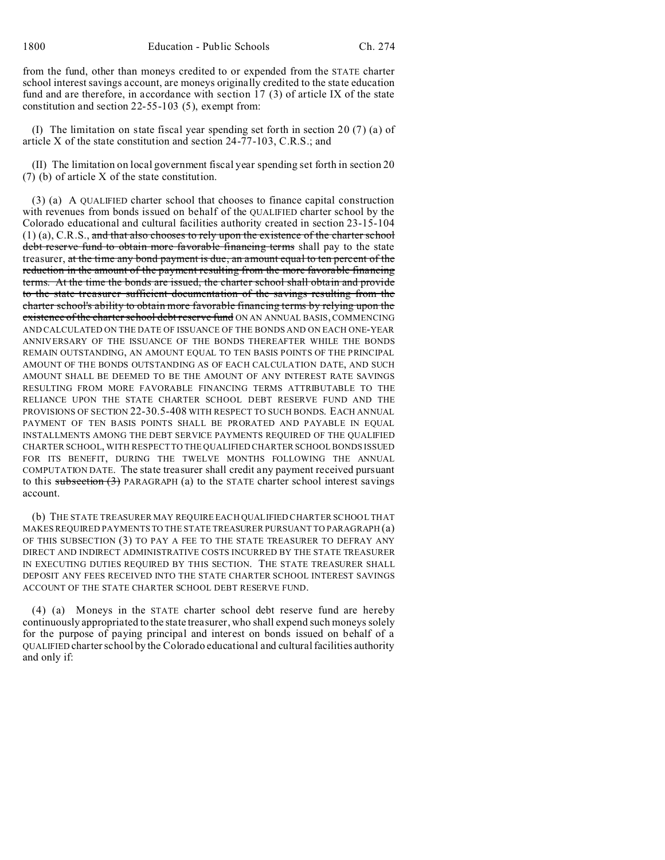from the fund, other than moneys credited to or expended from the STATE charter school interest savings account, are moneys originally credited to the state education fund and are therefore, in accordance with section 17 (3) of article IX of the state constitution and section 22-55-103 (5), exempt from:

(I) The limitation on state fiscal year spending set forth in section 20 (7) (a) of article X of the state constitution and section 24-77-103, C.R.S.; and

(II) The limitation on local government fiscal year spending set forth in section 20 (7) (b) of article X of the state constitution.

(3) (a) A QUALIFIED charter school that chooses to finance capital construction with revenues from bonds issued on behalf of the QUALIFIED charter school by the Colorado educational and cultural facilities authority created in section 23-15-104  $(1)$  (a), C.R.S., and that also chooses to rely upon the existence of the charter school debt reserve fund to obtain more favorable financing terms shall pay to the state treasurer, at the time any bond payment is due, an amount equal to ten percent of the reduction in the amount of the payment resulting from the more favorable financing terms. At the time the bonds are issued, the charter school shall obtain and provide to the state treasurer sufficient documentation of the savings resulting from the charter school's ability to obtain more favorable financing terms by relying upon the existence of the charter school debt reserve fund ON AN ANNUAL BASIS, COMMENCING AND CALCULATED ON THE DATE OF ISSUANCE OF THE BONDS AND ON EACH ONE-YEAR ANNIVERSARY OF THE ISSUANCE OF THE BONDS THEREAFTER WHILE THE BONDS REMAIN OUTSTANDING, AN AMOUNT EQUAL TO TEN BASIS POINTS OF THE PRINCIPAL AMOUNT OF THE BONDS OUTSTANDING AS OF EACH CALCULATION DATE, AND SUCH AMOUNT SHALL BE DEEMED TO BE THE AMOUNT OF ANY INTEREST RATE SAVINGS RESULTING FROM MORE FAVORABLE FINANCING TERMS ATTRIBUTABLE TO THE RELIANCE UPON THE STATE CHARTER SCHOOL DEBT RESERVE FUND AND THE PROVISIONS OF SECTION 22-30.5-408 WITH RESPECT TO SUCH BONDS. EACH ANNUAL PAYMENT OF TEN BASIS POINTS SHALL BE PRORATED AND PAYABLE IN EQUAL INSTALLMENTS AMONG THE DEBT SERVICE PAYMENTS REQUIRED OF THE QUALIFIED CHARTER SCHOOL, WITH RESPECT TO THE QUALIFIED CHARTER SCHOOL BONDS ISSUED FOR ITS BENEFIT, DURING THE TWELVE MONTHS FOLLOWING THE ANNUAL COMPUTATION DATE. The state treasurer shall credit any payment received pursuant to this subsection  $(3)$  PARAGRAPH (a) to the STATE charter school interest savings account.

(b) THE STATE TREASURER MAY REQUIRE EACH QUALIFIED CHARTER SCHOOL THAT MAKES REQUIRED PAYMENTS TO THE STATE TREASURER PURSUANT TO PARAGRAPH (a) OF THIS SUBSECTION (3) TO PAY A FEE TO THE STATE TREASURER TO DEFRAY ANY DIRECT AND INDIRECT ADMINISTRATIVE COSTS INCURRED BY THE STATE TREASURER IN EXECUTING DUTIES REQUIRED BY THIS SECTION. THE STATE TREASURER SHALL DEPOSIT ANY FEES RECEIVED INTO THE STATE CHARTER SCHOOL INTEREST SAVINGS ACCOUNT OF THE STATE CHARTER SCHOOL DEBT RESERVE FUND.

(4) (a) Moneys in the STATE charter school debt reserve fund are hereby continuously appropriated to the state treasurer, who shall expend such moneys solely for the purpose of paying principal and interest on bonds issued on behalf of a QUALIFIED charter school by the Colorado educational and cultural facilities authority and only if: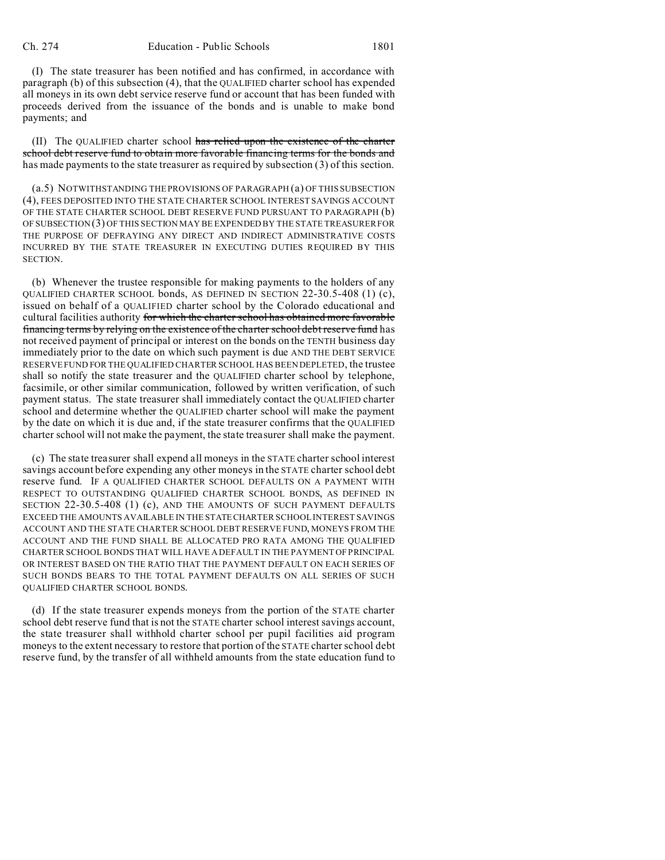(I) The state treasurer has been notified and has confirmed, in accordance with paragraph (b) of this subsection (4), that the QUALIFIED charter school has expended all moneys in its own debt service reserve fund or account that has been funded with proceeds derived from the issuance of the bonds and is unable to make bond payments; and

(II) The QUALIFIED charter school has relied upon the existence of the charter school debt reserve fund to obtain more favorable financing terms for the bonds and has made payments to the state treasurer as required by subsection (3) of this section.

(a.5) NOTWITHSTANDING THE PROVISIONS OF PARAGRAPH (a) OF THIS SUBSECTION (4), FEES DEPOSITED INTO THE STATE CHARTER SCHOOL INTEREST SAVINGS ACCOUNT OF THE STATE CHARTER SCHOOL DEBT RESERVE FUND PURSUANT TO PARAGRAPH (b) OF SUBSECTION (3) OF THIS SECTION MAY BE EXPENDED BY THE STATE TREASURER FOR THE PURPOSE OF DEFRAYING ANY DIRECT AND INDIRECT ADMINISTRATIVE COSTS INCURRED BY THE STATE TREASURER IN EXECUTING DUTIES REQUIRED BY THIS SECTION.

(b) Whenever the trustee responsible for making payments to the holders of any QUALIFIED CHARTER SCHOOL bonds, AS DEFINED IN SECTION 22-30.5-408 (1) (c), issued on behalf of a QUALIFIED charter school by the Colorado educational and cultural facilities authority for which the charter school has obtained more favorable financing terms by relying on the existence of the charter school debt reserve fund has not received payment of principal or interest on the bonds on the TENTH business day immediately prior to the date on which such payment is due AND THE DEBT SERVICE RESERVE FUND FOR THE QUALIFIED CHARTER SCHOOL HAS BEEN DEPLETED, the trustee shall so notify the state treasurer and the QUALIFIED charter school by telephone, facsimile, or other similar communication, followed by written verification, of such payment status. The state treasurer shall immediately contact the QUALIFIED charter school and determine whether the QUALIFIED charter school will make the payment by the date on which it is due and, if the state treasurer confirms that the QUALIFIED charter school will not make the payment, the state treasurer shall make the payment.

(c) The state treasurer shall expend all moneys in the STATE charter school interest savings account before expending any other moneys in the STATE charter school debt reserve fund. IF A QUALIFIED CHARTER SCHOOL DEFAULTS ON A PAYMENT WITH RESPECT TO OUTSTANDING QUALIFIED CHARTER SCHOOL BONDS, AS DEFINED IN SECTION 22-30.5-408 (1) (c), AND THE AMOUNTS OF SUCH PAYMENT DEFAULTS EXCEED THE AMOUNTS AVAILABLE IN THE STATECHARTER SCHOOL INTEREST SAVINGS ACCOUNT AND THE STATE CHARTER SCHOOL DEBT RESERVE FUND, MONEYS FROM THE ACCOUNT AND THE FUND SHALL BE ALLOCATED PRO RATA AMONG THE QUALIFIED CHARTER SCHOOL BONDS THAT WILL HAVE A DEFAULT IN THE PAYMENT OF PRINCIPAL OR INTEREST BASED ON THE RATIO THAT THE PAYMENT DEFAULT ON EACH SERIES OF SUCH BONDS BEARS TO THE TOTAL PAYMENT DEFAULTS ON ALL SERIES OF SUCH QUALIFIED CHARTER SCHOOL BONDS.

(d) If the state treasurer expends moneys from the portion of the STATE charter school debt reserve fund that is not the STATE charter school interest savings account, the state treasurer shall withhold charter school per pupil facilities aid program moneys to the extent necessary to restore that portion of the STATE charter school debt reserve fund, by the transfer of all withheld amounts from the state education fund to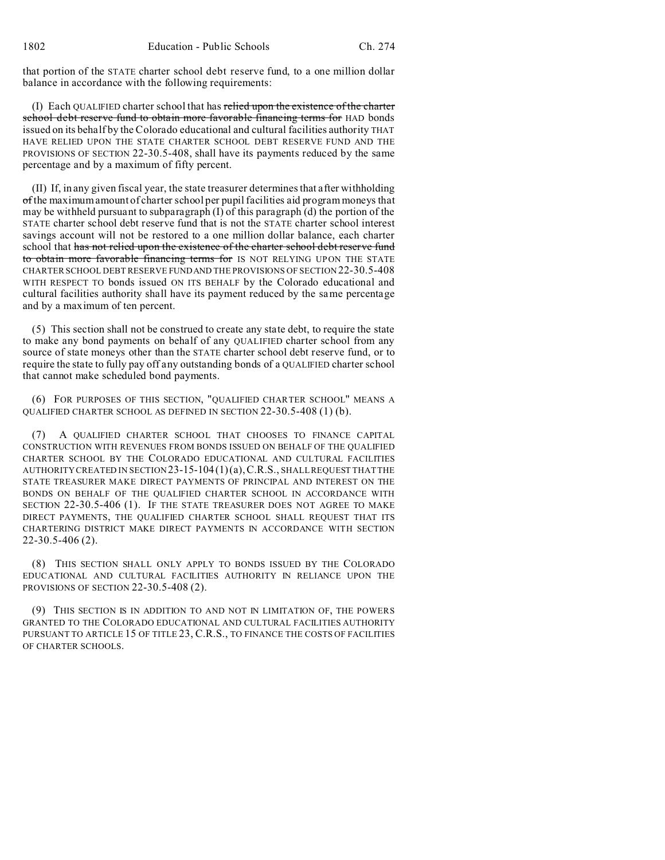that portion of the STATE charter school debt reserve fund, to a one million dollar balance in accordance with the following requirements:

(I) Each QUALIFIED charter school that has relied upon the existence of the charter school debt reserve fund to obtain more favorable financing terms for HAD bonds issued on its behalf by the Colorado educational and cultural facilities authority THAT HAVE RELIED UPON THE STATE CHARTER SCHOOL DEBT RESERVE FUND AND THE PROVISIONS OF SECTION 22-30.5-408, shall have its payments reduced by the same percentage and by a maximum of fifty percent.

(II) If, in any given fiscal year, the state treasurer determines that after withholding of the maximum amount of charter school per pupil facilities aid program moneys that may be withheld pursuant to subparagraph  $(I)$  of this paragraph  $(d)$  the portion of the STATE charter school debt reserve fund that is not the STATE charter school interest savings account will not be restored to a one million dollar balance, each charter school that has not relied upon the existence of the charter school debt reserve fund to obtain more favorable financing terms for IS NOT RELYING UPON THE STATE CHARTER SCHOOL DEBT RESERVE FUNDAND THE PROVISIONS OF SECTION 22-30.5-408 WITH RESPECT TO bonds issued ON ITS BEHALF by the Colorado educational and cultural facilities authority shall have its payment reduced by the same percentage and by a maximum of ten percent.

(5) This section shall not be construed to create any state debt, to require the state to make any bond payments on behalf of any QUALIFIED charter school from any source of state moneys other than the STATE charter school debt reserve fund, or to require the state to fully pay off any outstanding bonds of a QUALIFIED charter school that cannot make scheduled bond payments.

(6) FOR PURPOSES OF THIS SECTION, "QUALIFIED CHARTER SCHOOL" MEANS A QUALIFIED CHARTER SCHOOL AS DEFINED IN SECTION 22-30.5-408 (1) (b).

A QUALIFIED CHARTER SCHOOL THAT CHOOSES TO FINANCE CAPITAL CONSTRUCTION WITH REVENUES FROM BONDS ISSUED ON BEHALF OF THE QUALIFIED CHARTER SCHOOL BY THE COLORADO EDUCATIONAL AND CULTURAL FACILITIES AUTHORITY CREATED IN SECTION  $23$ -15-104(1)(a), C.R.S., SHALL REQUEST THAT THE STATE TREASURER MAKE DIRECT PAYMENTS OF PRINCIPAL AND INTEREST ON THE BONDS ON BEHALF OF THE QUALIFIED CHARTER SCHOOL IN ACCORDANCE WITH SECTION 22-30.5-406 (1). IF THE STATE TREASURER DOES NOT AGREE TO MAKE DIRECT PAYMENTS, THE QUALIFIED CHARTER SCHOOL SHALL REQUEST THAT ITS CHARTERING DISTRICT MAKE DIRECT PAYMENTS IN ACCORDANCE WITH SECTION 22-30.5-406 (2).

(8) THIS SECTION SHALL ONLY APPLY TO BONDS ISSUED BY THE COLORADO EDUCATIONAL AND CULTURAL FACILITIES AUTHORITY IN RELIANCE UPON THE PROVISIONS OF SECTION 22-30.5-408 (2).

(9) THIS SECTION IS IN ADDITION TO AND NOT IN LIMITATION OF, THE POWERS GRANTED TO THE COLORADO EDUCATIONAL AND CULTURAL FACILITIES AUTHORITY PURSUANT TO ARTICLE 15 OF TITLE 23, C.R.S., TO FINANCE THE COSTS OF FACILITIES OF CHARTER SCHOOLS.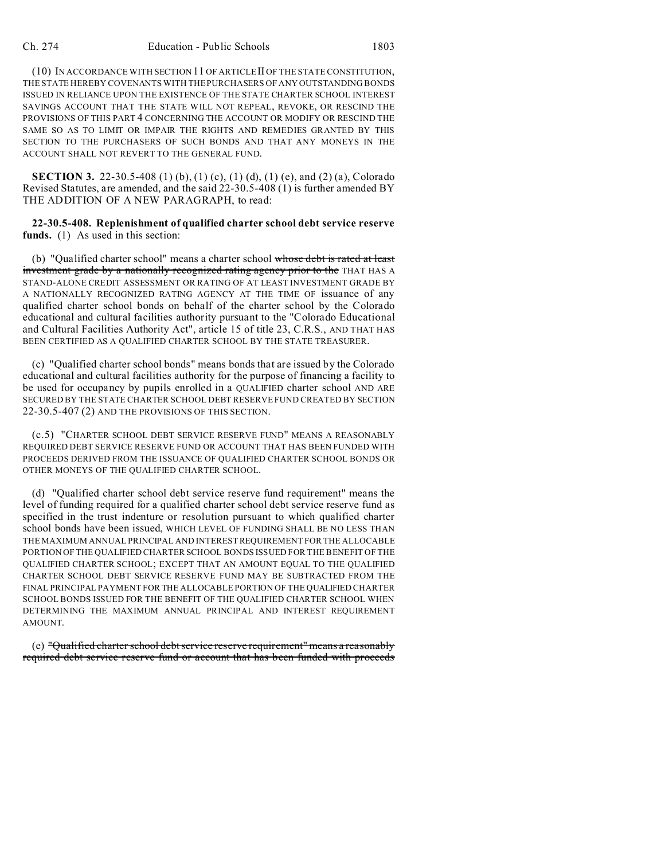(10) IN ACCORDANCE WITH SECTION 11 OF ARTICLE II OF THE STATE CONSTITUTION, THE STATE HEREBY COVENANTS WITH THE PURCHASERS OF ANY OUTSTANDING BONDS ISSUED IN RELIANCE UPON THE EXISTENCE OF THE STATE CHARTER SCHOOL INTEREST SAVINGS ACCOUNT THAT THE STATE WILL NOT REPEAL, REVOKE, OR RESCIND THE PROVISIONS OF THIS PART 4 CONCERNING THE ACCOUNT OR MODIFY OR RESCIND THE SAME SO AS TO LIMIT OR IMPAIR THE RIGHTS AND REMEDIES GRANTED BY THIS SECTION TO THE PURCHASERS OF SUCH BONDS AND THAT ANY MONEYS IN THE ACCOUNT SHALL NOT REVERT TO THE GENERAL FUND.

**SECTION 3.** 22-30.5-408 (1) (b), (1) (c), (1) (d), (1) (e), and (2) (a), Colorado Revised Statutes, are amended, and the said 22-30.5-408 (1) is further amended BY THE ADDITION OF A NEW PARAGRAPH, to read:

**22-30.5-408. Replenishment of qualified charter school debt service reserve** funds. (1) As used in this section:

(b) "Qualified charter school" means a charter school whose debt is rated at least investment grade by a nationally recognized rating agency prior to the THAT HAS A STAND-ALONE CREDIT ASSESSMENT OR RATING OF AT LEAST INVESTMENT GRADE BY A NATIONALLY RECOGNIZED RATING AGENCY AT THE TIME OF issuance of any qualified charter school bonds on behalf of the charter school by the Colorado educational and cultural facilities authority pursuant to the "Colorado Educational and Cultural Facilities Authority Act", article 15 of title 23, C.R.S., AND THAT HAS BEEN CERTIFIED AS A QUALIFIED CHARTER SCHOOL BY THE STATE TREASURER.

(c) "Qualified charter school bonds" means bonds that are issued by the Colorado educational and cultural facilities authority for the purpose of financing a facility to be used for occupancy by pupils enrolled in a QUALIFIED charter school AND ARE SECURED BY THE STATE CHARTER SCHOOL DEBT RESERVE FUND CREATED BY SECTION 22-30.5-407 (2) AND THE PROVISIONS OF THIS SECTION.

(c.5) "CHARTER SCHOOL DEBT SERVICE RESERVE FUND" MEANS A REASONABLY REQUIRED DEBT SERVICE RESERVE FUND OR ACCOUNT THAT HAS BEEN FUNDED WITH PROCEEDS DERIVED FROM THE ISSUANCE OF QUALIFIED CHARTER SCHOOL BONDS OR OTHER MONEYS OF THE QUALIFIED CHARTER SCHOOL.

(d) "Qualified charter school debt service reserve fund requirement" means the level of funding required for a qualified charter school debt service reserve fund as specified in the trust indenture or resolution pursuant to which qualified charter school bonds have been issued, WHICH LEVEL OF FUNDING SHALL BE NO LESS THAN THE MAXIMUM ANNUAL PRINCIPAL AND INTEREST REQUIREMENT FOR THE ALLOCABLE PORTION OF THE QUALIFIED CHARTER SCHOOL BONDS ISSUED FOR THE BENEFIT OF THE QUALIFIED CHARTER SCHOOL; EXCEPT THAT AN AMOUNT EQUAL TO THE QUALIFIED CHARTER SCHOOL DEBT SERVICE RESERVE FUND MAY BE SUBTRACTED FROM THE FINAL PRINCIPAL PAYMENT FOR THE ALLOCABLE PORTION OF THE QUALIFIED CHARTER SCHOOL BONDS ISSUED FOR THE BENEFIT OF THE QUALIFIED CHARTER SCHOOL WHEN DETERMINING THE MAXIMUM ANNUAL PRINCIPAL AND INTEREST REQUIREMENT AMOUNT.

(e) "Qualified charter school debt service reserve requirement" means a reasonably required debt service reserve fund or account that has been funded with proceeds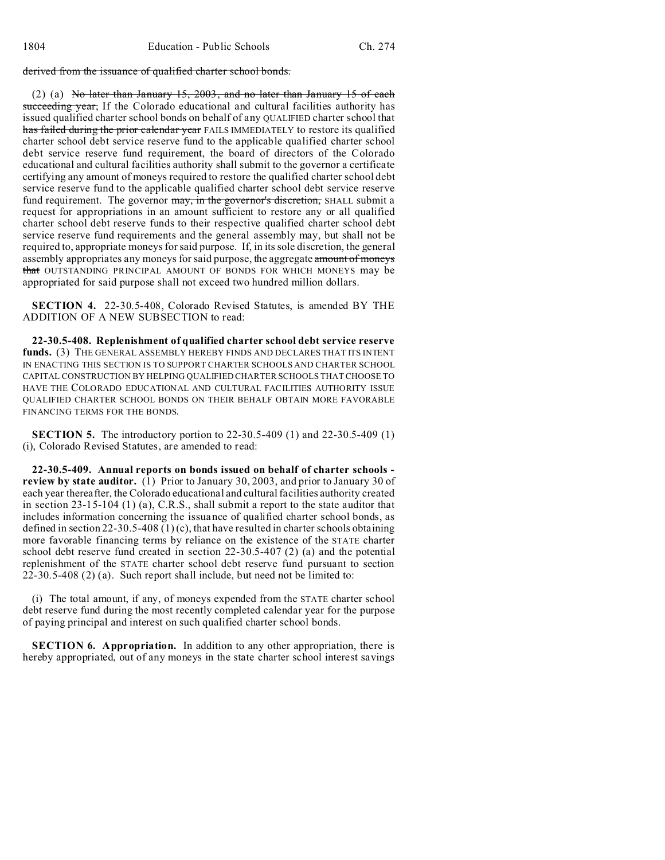derived from the issuance of qualified charter school bonds.

(2) (a) No later than January 15, 2003, and no later than January 15 of each succeeding year, If the Colorado educational and cultural facilities authority has issued qualified charter school bonds on behalf of any QUALIFIED charter school that has failed during the prior calendar year FAILS IMMEDIATELY to restore its qualified charter school debt service reserve fund to the applicable qualified charter school debt service reserve fund requirement, the board of directors of the Colorado educational and cultural facilities authority shall submit to the governor a certificate certifying any amount of moneys required to restore the qualified charter school debt service reserve fund to the applicable qualified charter school debt service reserve fund requirement. The governor may, in the governor's discretion, SHALL submit a request for appropriations in an amount sufficient to restore any or all qualified charter school debt reserve funds to their respective qualified charter school debt service reserve fund requirements and the general assembly may, but shall not be required to, appropriate moneys for said purpose. If, in its sole discretion, the general assembly appropriates any moneys for said purpose, the aggregate amount of moneys that OUTSTANDING PRINCIPAL AMOUNT OF BONDS FOR WHICH MONEYS may be appropriated for said purpose shall not exceed two hundred million dollars.

**SECTION 4.** 22-30.5-408, Colorado Revised Statutes, is amended BY THE ADDITION OF A NEW SUBSECTION to read:

**22-30.5-408. Replenishment of qualified charter school debt service reserve** funds. (3) THE GENERAL ASSEMBLY HEREBY FINDS AND DECLARES THAT ITS INTENT IN ENACTING THIS SECTION IS TO SUPPORT CHARTER SCHOOLS AND CHARTER SCHOOL CAPITAL CONSTRUCTION BY HELPING QUALIFIED CHARTER SCHOOLS THAT CHOOSE TO HAVE THE COLORADO EDUCATIONAL AND CULTURAL FACILITIES AUTHORITY ISSUE QUALIFIED CHARTER SCHOOL BONDS ON THEIR BEHALF OBTAIN MORE FAVORABLE FINANCING TERMS FOR THE BONDS.

**SECTION 5.** The introductory portion to 22-30.5-409 (1) and 22-30.5-409 (1) (i), Colorado Revised Statutes, are amended to read:

**22-30.5-409. Annual reports on bonds issued on behalf of charter schools review by state auditor.** (1) Prior to January 30, 2003, and prior to January 30 of each year thereafter, the Colorado educational and cultural facilities authority created in section 23-15-104 (1) (a), C.R.S., shall submit a report to the state auditor that includes information concerning the issuance of qualified charter school bonds, as defined in section 22-30.5-408 (1) (c), that have resulted in charter schools obtaining more favorable financing terms by reliance on the existence of the STATE charter school debt reserve fund created in section 22-30.5-407 (2) (a) and the potential replenishment of the STATE charter school debt reserve fund pursuant to section 22-30.5-408 (2) (a). Such report shall include, but need not be limited to:

(i) The total amount, if any, of moneys expended from the STATE charter school debt reserve fund during the most recently completed calendar year for the purpose of paying principal and interest on such qualified charter school bonds.

**SECTION 6. Appropriation.** In addition to any other appropriation, there is hereby appropriated, out of any moneys in the state charter school interest savings